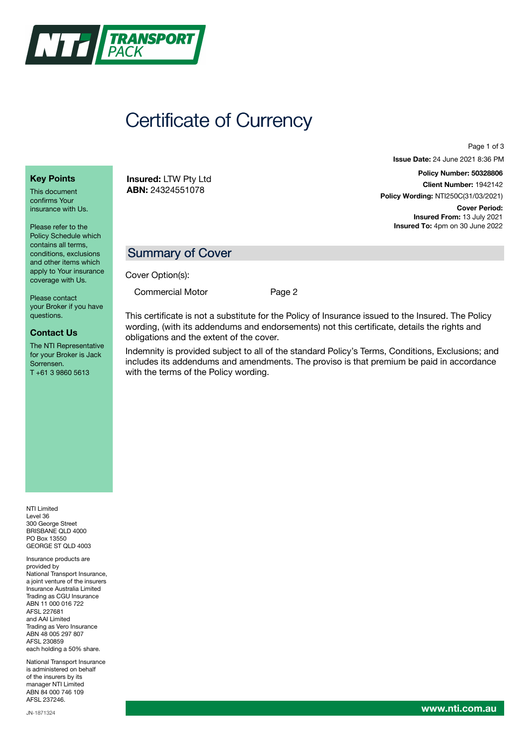

# Certificate of Currency

**Key Points**

This document confirms Your insurance with Us.

Please refer to the Policy Schedule which contains all terms, conditions, exclusions and other items which apply to Your insurance coverage with Us.

Please contact your Broker if you have questions.

#### **Contact Us**

The NTI Representative for your Broker is Jack Sorrensen. T +61 3 9860 5613

NTI Limited Level 36 300 George Street BRISBANE QLD 4000 PO Box 13550 GEORGE ST QLD 4003

Insurance products are provided by National Transport Insurance, a joint venture of the insurers Insurance Australia Limited Trading as CGU Insurance ABN 11 000 016 722 AFSL 227681 and AAI Limited Trading as Vero Insurance ABN 48 005 297 807 AFSL 230859 each holding a 50% share.

National Transport Insurance is administered on behalf of the insurers by its manager NTI Limited ABN 84 000 746 109 AFSL 237246.

**Insured:** LTW Pty Ltd **ABN:** 24324551078

Page 1 of 3

**Issue Date:** 24 June 2021 8:36 PM

**Policy Number: 50328806 Client Number:** 1942142 **Policy Wording:** NTI250C(31/03/2021)

**Cover Period: Insured From:** 13 July 2021 **Insured To:** 4pm on 30 June 2022

## Summary of Cover

Cover Option(s):

Commercial Motor [Page](#page-1-0) 2

This certificate is not a substitute for the Policy of Insurance issued to the Insured. The Policy wording, (with its addendums and endorsements) not this certificate, details the rights and obligations and the extent of the cover.

Indemnity is provided subject to all of the standard Policy's Terms, Conditions, Exclusions; and includes its addendums and amendments. The proviso is that premium be paid in accordance with the terms of the Policy wording.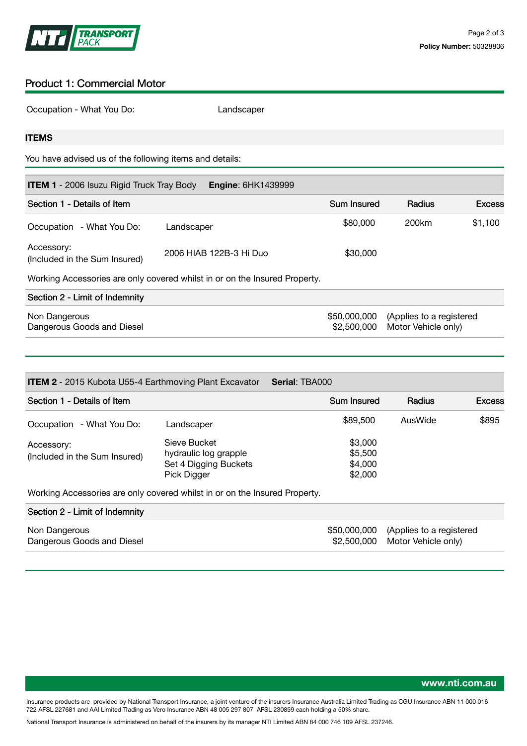

### <span id="page-1-0"></span>Product 1: Commercial Motor

Occupation - What You Do: Landscaper

#### **ITEMS**

You have advised us of the following items and details:

| <b>ITEM 1</b> - 2006 Isuzu Rigid Truck Tray Body<br><b>Engine: 6HK1439999</b> |                                                                            |                             |                                                 |               |  |  |  |  |
|-------------------------------------------------------------------------------|----------------------------------------------------------------------------|-----------------------------|-------------------------------------------------|---------------|--|--|--|--|
| Section 1 - Details of Item                                                   |                                                                            | <b>Sum Insured</b>          | Radius                                          | <b>Excess</b> |  |  |  |  |
| Occupation - What You Do:                                                     | Landscaper                                                                 | \$80,000                    | 200km                                           | \$1,100       |  |  |  |  |
| Accessory:<br>(Included in the Sum Insured)                                   | 2006 HIAB 122B-3 Hi Duo                                                    | \$30,000                    |                                                 |               |  |  |  |  |
|                                                                               | Working Accessories are only covered whilst in or on the Insured Property. |                             |                                                 |               |  |  |  |  |
| Section 2 - Limit of Indemnity                                                |                                                                            |                             |                                                 |               |  |  |  |  |
| Non Dangerous<br>Dangerous Goods and Diesel                                   |                                                                            | \$50,000,000<br>\$2,500,000 | (Applies to a registered<br>Motor Vehicle only) |               |  |  |  |  |

| <b>Serial: TBA000</b><br><b>ITEM 2</b> - 2015 Kubota U55-4 Earthmoving Plant Excavator |                                                                               |                                          |                                                 |               |  |  |  |  |
|----------------------------------------------------------------------------------------|-------------------------------------------------------------------------------|------------------------------------------|-------------------------------------------------|---------------|--|--|--|--|
| Section 1 - Details of Item                                                            |                                                                               | Sum Insured                              | Radius                                          | <b>Excess</b> |  |  |  |  |
| Occupation - What You Do:                                                              | Landscaper                                                                    | \$89,500                                 | AusWide                                         | \$895         |  |  |  |  |
| Accessory:<br>(Included in the Sum Insured)                                            | Sieve Bucket<br>hydraulic log grapple<br>Set 4 Digging Buckets<br>Pick Digger | \$3,000<br>\$5,500<br>\$4,000<br>\$2,000 |                                                 |               |  |  |  |  |
|                                                                                        | Working Accessories are only covered whilst in or on the Insured Property.    |                                          |                                                 |               |  |  |  |  |
| Section 2 - Limit of Indemnity                                                         |                                                                               |                                          |                                                 |               |  |  |  |  |
| Non Dangerous<br>Dangerous Goods and Diesel                                            |                                                                               | \$50,000,000<br>\$2,500,000              | (Applies to a registered<br>Motor Vehicle only) |               |  |  |  |  |

Insurance products are provided by National Transport Insurance, a joint venture of the insurers Insurance Australia Limited Trading as CGU Insurance ABN 11 000 016 722 AFSL 227681 and AAI Limited Trading as Vero Insurance ABN 48 005 297 807 AFSL 230859 each holding a 50% share.